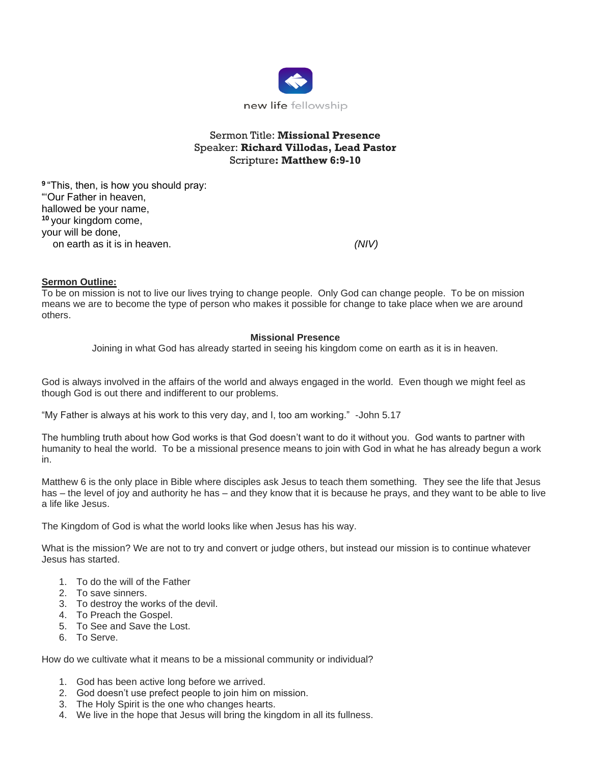

# Sermon Title: **Missional Presence** Speaker: **Richard Villodas, Lead Pastor** Scripture**: Matthew 6:9-10**

**9** "This, then, is how you should pray: "'Our Father in heaven, hallowed be your name, **<sup>10</sup>** your kingdom come, your will be done, on earth as it is in heaven. *(NIV)*

## **Sermon Outline:**

To be on mission is not to live our lives trying to change people. Only God can change people. To be on mission means we are to become the type of person who makes it possible for change to take place when we are around others.

#### **Missional Presence**

Joining in what God has already started in seeing his kingdom come on earth as it is in heaven.

God is always involved in the affairs of the world and always engaged in the world. Even though we might feel as though God is out there and indifferent to our problems.

"My Father is always at his work to this very day, and I, too am working." -John 5.17

The humbling truth about how God works is that God doesn't want to do it without you. God wants to partner with humanity to heal the world. To be a missional presence means to join with God in what he has already begun a work in.

Matthew 6 is the only place in Bible where disciples ask Jesus to teach them something. They see the life that Jesus has – the level of joy and authority he has – and they know that it is because he prays, and they want to be able to live a life like Jesus.

The Kingdom of God is what the world looks like when Jesus has his way.

What is the mission? We are not to try and convert or judge others, but instead our mission is to continue whatever Jesus has started.

- 1. To do the will of the Father
- 2. To save sinners.
- 3. To destroy the works of the devil.
- 4. To Preach the Gospel.
- 5. To See and Save the Lost.
- 6. To Serve.

How do we cultivate what it means to be a missional community or individual?

- 1. God has been active long before we arrived.
- 2. God doesn't use prefect people to join him on mission.
- 3. The Holy Spirit is the one who changes hearts.
- 4. We live in the hope that Jesus will bring the kingdom in all its fullness.